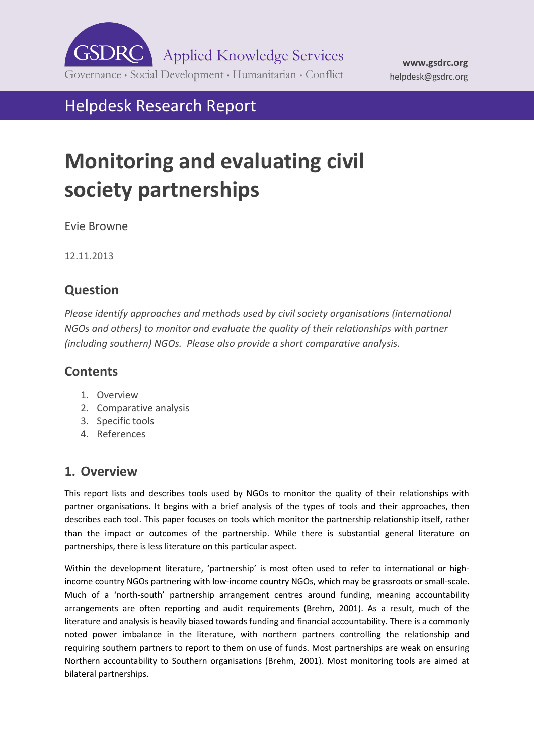

# Helpdesk Research Report

# **Monitoring and evaluating civil society partnerships**

Evie Browne

12.11.2013

# **Question**

*Please identify approaches and methods used by civil society organisations (international NGOs and others) to monitor and evaluate the quality of their relationships with partner (including southern) NGOs. Please also provide a short comparative analysis.* 

## **Contents**

- 1. [Overview](#page-0-0)
- 2. [Comparative analysis](#page-1-0)
- 3. [Specific tools](#page-2-0)
- 4. [References](#page-6-0)

# <span id="page-0-0"></span>**1. Overview**

This report lists and describes tools used by NGOs to monitor the quality of their relationships with partner organisations. It begins with a brief analysis of the types of tools and their approaches, then describes each tool. This paper focuses on tools which monitor the partnership relationship itself, rather than the impact or outcomes of the partnership. While there is substantial general literature on partnerships, there is less literature on this particular aspect.

Within the development literature, 'partnership' is most often used to refer to international or highincome country NGOs partnering with low-income country NGOs, which may be grassroots or small-scale. Much of a 'north-south' partnership arrangement centres around funding, meaning accountability arrangements are often reporting and audit requirements (Brehm, 2001). As a result, much of the literature and analysis is heavily biased towards funding and financial accountability. There is a commonly noted power imbalance in the literature, with northern partners controlling the relationship and requiring southern partners to report to them on use of funds. Most partnerships are weak on ensuring Northern accountability to Southern organisations (Brehm, 2001). Most monitoring tools are aimed at bilateral partnerships.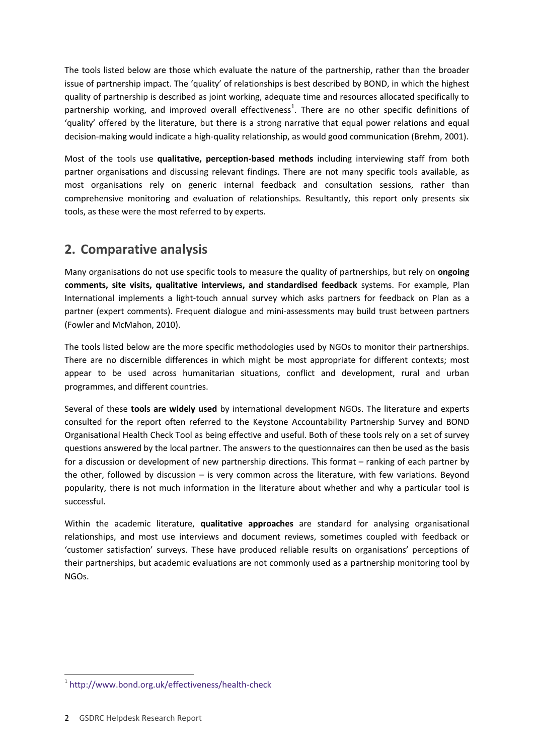<span id="page-1-0"></span>The tools listed below are those which evaluate the nature of the partnership, rather than the broader issue of partnership impact. The 'quality' of relationships is best described by BOND, in which the highest quality of partnership is described as joint working, adequate time and resources allocated specifically to partnership working, and improved overall effectiveness<sup>1</sup>. There are no other specific definitions of 'quality' offered by the literature, but there is a strong narrative that equal power relations and equal decision-making would indicate a high-quality relationship, as would good communication (Brehm, 2001).

Most of the tools use **qualitative, perception-based methods** including interviewing staff from both partner organisations and discussing relevant findings. There are not many specific tools available, as most organisations rely on generic internal feedback and consultation sessions, rather than comprehensive monitoring and evaluation of relationships. Resultantly, this report only presents six tools, as these were the most referred to by experts.

# **2. Comparative analysis**

Many organisations do not use specific tools to measure the quality of partnerships, but rely on **ongoing comments, site visits, qualitative interviews, and standardised feedback** systems. For example, Plan International implements a light-touch annual survey which asks partners for feedback on Plan as a partner (expert comments). Frequent dialogue and mini-assessments may build trust between partners (Fowler and McMahon, 2010).

The tools listed below are the more specific methodologies used by NGOs to monitor their partnerships. There are no discernible differences in which might be most appropriate for different contexts; most appear to be used across humanitarian situations, conflict and development, rural and urban programmes, and different countries.

Several of these **tools are widely used** by international development NGOs. The literature and experts consulted for the report often referred to the Keystone Accountability Partnership Survey and BOND Organisational Health Check Tool as being effective and useful. Both of these tools rely on a set of survey questions answered by the local partner. The answers to the questionnaires can then be used as the basis for a discussion or development of new partnership directions. This format – ranking of each partner by the other, followed by discussion – is very common across the literature, with few variations. Beyond popularity, there is not much information in the literature about whether and why a particular tool is successful.

Within the academic literature, **qualitative approaches** are standard for analysing organisational relationships, and most use interviews and document reviews, sometimes coupled with feedback or 'customer satisfaction' surveys. These have produced reliable results on organisations' perceptions of their partnerships, but academic evaluations are not commonly used as a partnership monitoring tool by NGOs.

-

<sup>1</sup> <http://www.bond.org.uk/effectiveness/health-check>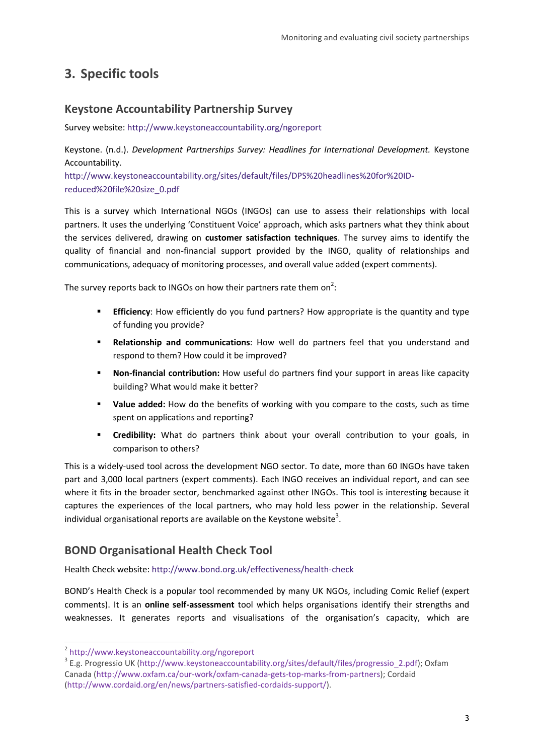# <span id="page-2-0"></span>**3. Specific tools**

#### **Keystone Accountability Partnership Survey**

Survey website:<http://www.keystoneaccountability.org/ngoreport>

Keystone. (n.d.). *Development Partnerships Survey: Headlines for International Development.* Keystone Accountability. [http://www.keystoneaccountability.org/sites/default/files/DPS%20headlines%20for%20ID-](http://www.keystoneaccountability.org/sites/default/files/DPS%20headlines%20for%20ID-reduced%20file%20size_0.pdf)

[reduced%20file%20size\\_0.pdf](http://www.keystoneaccountability.org/sites/default/files/DPS%20headlines%20for%20ID-reduced%20file%20size_0.pdf)

This is a survey which International NGOs (INGOs) can use to assess their relationships with local partners. It uses the underlying 'Constituent Voice' approach, which asks partners what they think about the services delivered, drawing on **customer satisfaction techniques**. The survey aims to identify the quality of financial and non-financial support provided by the INGO, quality of relationships and communications, adequacy of monitoring processes, and overall value added (expert comments).

The survey reports back to INGOs on how their partners rate them on<sup>2</sup>:

- **Efficiency**: How efficiently do you fund partners? How appropriate is the quantity and type of funding you provide?
- **Relationship and communications**: How well do partners feel that you understand and respond to them? How could it be improved?
- **Non-financial contribution:** How useful do partners find your support in areas like capacity building? What would make it better?
- **Value added:** How do the benefits of working with you compare to the costs, such as time spent on applications and reporting?
- **Credibility:** What do partners think about your overall contribution to your goals, in comparison to others?

This is a widely-used tool across the development NGO sector. To date, more than 60 INGOs have taken part and 3,000 local partners (expert comments). Each INGO receives an individual report, and can see where it fits in the broader sector, benchmarked against other INGOs. This tool is interesting because it captures the experiences of the local partners, who may hold less power in the relationship. Several individual organisational reports are available on the Keystone website<sup>3</sup>.

#### **BOND Organisational Health Check Tool**

Health Check website:<http://www.bond.org.uk/effectiveness/health-check>

BOND's Health Check is a popular tool recommended by many UK NGOs, including Comic Relief (expert comments). It is an **online self-assessment** tool which helps organisations identify their strengths and weaknesses. It generates reports and visualisations of the organisation's capacity, which are

-

<sup>2</sup> <http://www.keystoneaccountability.org/ngoreport>

<sup>&</sup>lt;sup>3</sup> E.g. Progressio UK [\(http://www.keystoneaccountability.org/sites/default/files/progressio\\_2.pdf\)](http://www.keystoneaccountability.org/sites/default/files/progressio_2.pdf); Oxfam Canada [\(http://www.oxfam.ca/our-work/oxfam-canada-gets-top-marks-from-partners\)](http://www.oxfam.ca/our-work/oxfam-canada-gets-top-marks-from-partners); Cordaid [\(http://www.cordaid.org/en/news/partners-satisfied-cordaids-support/\)](http://www.cordaid.org/en/news/partners-satisfied-cordaids-support/).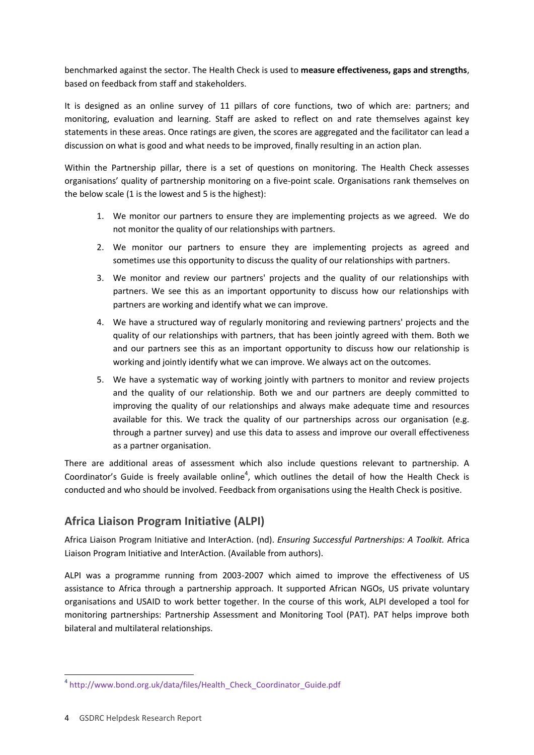benchmarked against the sector. The Health Check is used to **measure effectiveness, gaps and strengths**, based on feedback from staff and stakeholders.

It is designed as an online survey of 11 pillars of core functions, two of which are: partners; and monitoring, evaluation and learning. Staff are asked to reflect on and rate themselves against key statements in these areas. Once ratings are given, the scores are aggregated and the facilitator can lead a discussion on what is good and what needs to be improved, finally resulting in an action plan.

Within the Partnership pillar, there is a set of questions on monitoring. The Health Check assesses organisations' quality of partnership monitoring on a five-point scale. Organisations rank themselves on the below scale (1 is the lowest and 5 is the highest):

- 1. We monitor our partners to ensure they are implementing projects as we agreed. We do not monitor the quality of our relationships with partners.
- 2. We monitor our partners to ensure they are implementing projects as agreed and sometimes use this opportunity to discuss the quality of our relationships with partners.
- 3. We monitor and review our partners' projects and the quality of our relationships with partners. We see this as an important opportunity to discuss how our relationships with partners are working and identify what we can improve.
- 4. We have a structured way of regularly monitoring and reviewing partners' projects and the quality of our relationships with partners, that has been jointly agreed with them. Both we and our partners see this as an important opportunity to discuss how our relationship is working and jointly identify what we can improve. We always act on the outcomes.
- 5. We have a systematic way of working jointly with partners to monitor and review projects and the quality of our relationship. Both we and our partners are deeply committed to improving the quality of our relationships and always make adequate time and resources available for this. We track the quality of our partnerships across our organisation (e.g. through a partner survey) and use this data to assess and improve our overall effectiveness as a partner organisation.

There are additional areas of assessment which also include questions relevant to partnership. A Coordinator's Guide is freely available online<sup>4</sup>, which outlines the detail of how the Health Check is conducted and who should be involved. Feedback from organisations using the Health Check is positive.

#### **Africa Liaison Program Initiative (ALPI)**

Africa Liaison Program Initiative and InterAction. (nd). *Ensuring Successful Partnerships: A Toolkit.* Africa Liaison Program Initiative and InterAction. (Available from authors).

ALPI was a programme running from 2003-2007 which aimed to improve the effectiveness of US assistance to Africa through a partnership approach. It supported African NGOs, US private voluntary organisations and USAID to work better together. In the course of this work, ALPI developed a tool for monitoring partnerships: Partnership Assessment and Monitoring Tool (PAT). PAT helps improve both bilateral and multilateral relationships.

-

<sup>4</sup> [http://www.bond.org.uk/data/files/Health\\_Check\\_Coordinator\\_Guide.pdf](http://www.bond.org.uk/data/files/Health_Check_Coordinator_Guide.pdf)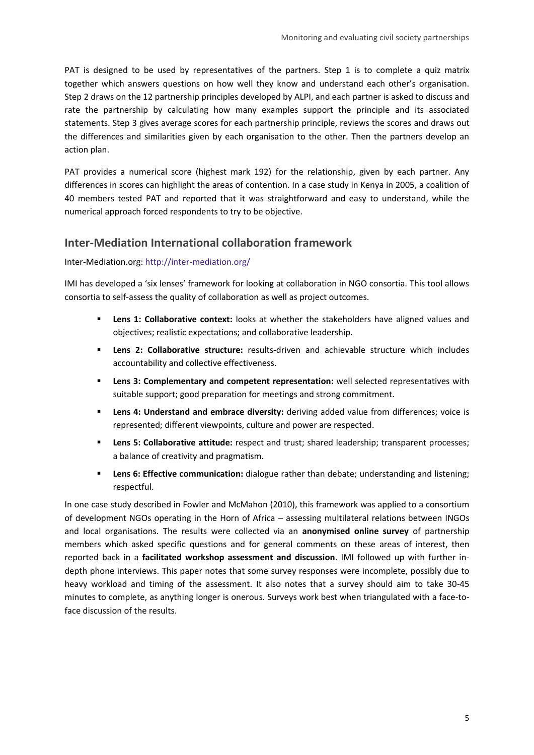PAT is designed to be used by representatives of the partners. Step 1 is to complete a quiz matrix together which answers questions on how well they know and understand each other's organisation. Step 2 draws on the 12 partnership principles developed by ALPI, and each partner is asked to discuss and rate the partnership by calculating how many examples support the principle and its associated statements. Step 3 gives average scores for each partnership principle, reviews the scores and draws out the differences and similarities given by each organisation to the other. Then the partners develop an action plan.

PAT provides a numerical score (highest mark 192) for the relationship, given by each partner. Any differences in scores can highlight the areas of contention. In a case study in Kenya in 2005, a coalition of 40 members tested PAT and reported that it was straightforward and easy to understand, while the numerical approach forced respondents to try to be objective.

#### **Inter-Mediation International collaboration framework**

Inter-Mediation.org:<http://inter-mediation.org/>

IMI has developed a 'six lenses' framework for looking at collaboration in NGO consortia. This tool allows consortia to self-assess the quality of collaboration as well as project outcomes.

- **Lens 1: Collaborative context:** looks at whether the stakeholders have aligned values and objectives; realistic expectations; and collaborative leadership.
- **Lens 2: Collaborative structure:** results-driven and achievable structure which includes accountability and collective effectiveness.
- **Lens 3: Complementary and competent representation:** well selected representatives with suitable support; good preparation for meetings and strong commitment.
- **Lens 4: Understand and embrace diversity:** deriving added value from differences; voice is represented; different viewpoints, culture and power are respected.
- **Lens 5: Collaborative attitude:** respect and trust; shared leadership; transparent processes; a balance of creativity and pragmatism.
- **Lens 6: Effective communication:** dialogue rather than debate; understanding and listening; respectful.

In one case study described in Fowler and McMahon (2010), this framework was applied to a consortium of development NGOs operating in the Horn of Africa – assessing multilateral relations between INGOs and local organisations. The results were collected via an **anonymised online survey** of partnership members which asked specific questions and for general comments on these areas of interest, then reported back in a **facilitated workshop assessment and discussion**. IMI followed up with further indepth phone interviews. This paper notes that some survey responses were incomplete, possibly due to heavy workload and timing of the assessment. It also notes that a survey should aim to take 30-45 minutes to complete, as anything longer is onerous. Surveys work best when triangulated with a face-toface discussion of the results.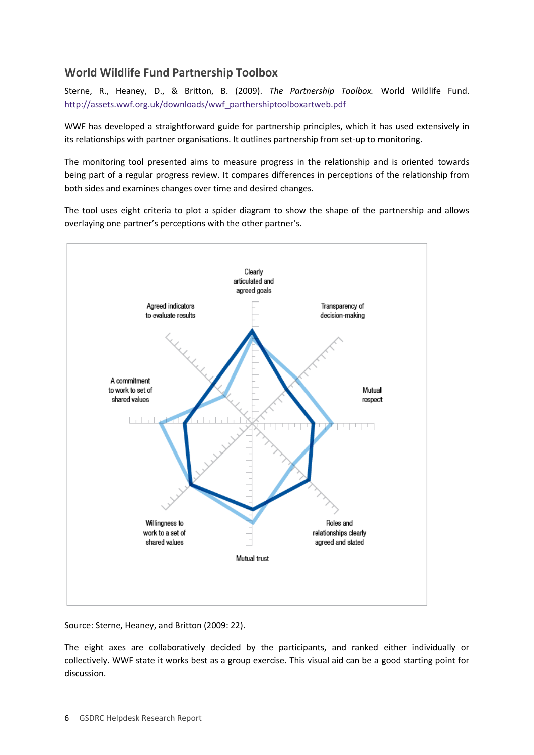#### **World Wildlife Fund Partnership Toolbox**

Sterne, R., Heaney, D., & Britton, B. (2009). *The Partnership Toolbox.* World Wildlife Fund. [http://assets.wwf.org.uk/downloads/wwf\\_parthershiptoolboxartweb.pdf](http://assets.wwf.org.uk/downloads/wwf_parthershiptoolboxartweb.pdf) 

WWF has developed a straightforward guide for partnership principles, which it has used extensively in its relationships with partner organisations. It outlines partnership from set-up to monitoring.

The monitoring tool presented aims to measure progress in the relationship and is oriented towards being part of a regular progress review. It compares differences in perceptions of the relationship from both sides and examines changes over time and desired changes.

The tool uses eight criteria to plot a spider diagram to show the shape of the partnership and allows overlaying one partner's perceptions with the other partner's.



Source: Sterne, Heaney, and Britton (2009: 22).

The eight axes are collaboratively decided by the participants, and ranked either individually or collectively. WWF state it works best as a group exercise. This visual aid can be a good starting point for discussion.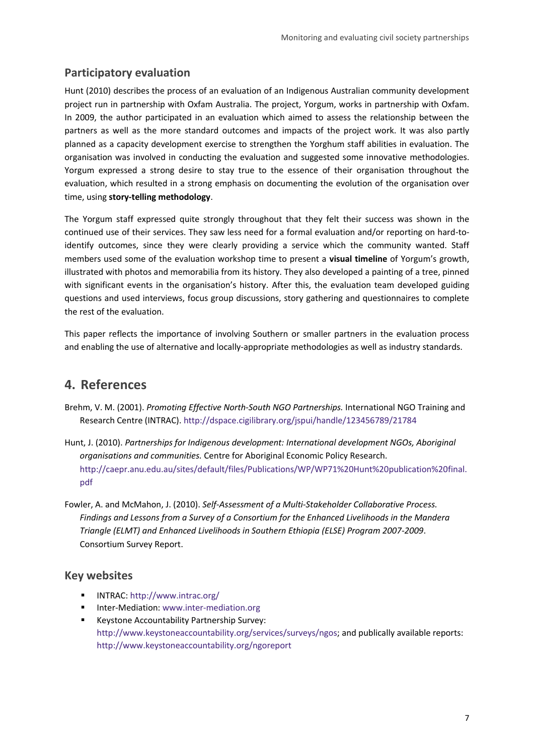#### <span id="page-6-0"></span>**Participatory evaluation**

Hunt (2010) describes the process of an evaluation of an Indigenous Australian community development project run in partnership with Oxfam Australia. The project, Yorgum, works in partnership with Oxfam. In 2009, the author participated in an evaluation which aimed to assess the relationship between the partners as well as the more standard outcomes and impacts of the project work. It was also partly planned as a capacity development exercise to strengthen the Yorghum staff abilities in evaluation. The organisation was involved in conducting the evaluation and suggested some innovative methodologies. Yorgum expressed a strong desire to stay true to the essence of their organisation throughout the evaluation, which resulted in a strong emphasis on documenting the evolution of the organisation over time, using **story-telling methodology**.

The Yorgum staff expressed quite strongly throughout that they felt their success was shown in the continued use of their services. They saw less need for a formal evaluation and/or reporting on hard-toidentify outcomes, since they were clearly providing a service which the community wanted. Staff members used some of the evaluation workshop time to present a **visual timeline** of Yorgum's growth, illustrated with photos and memorabilia from its history. They also developed a painting of a tree, pinned with significant events in the organisation's history. After this, the evaluation team developed guiding questions and used interviews, focus group discussions, story gathering and questionnaires to complete the rest of the evaluation.

This paper reflects the importance of involving Southern or smaller partners in the evaluation process and enabling the use of alternative and locally-appropriate methodologies as well as industry standards.

### **4. References**

- Brehm, V. M. (2001). *Promoting Effective North-South NGO Partnerships.* International NGO Training and Research Centre (INTRAC). <http://dspace.cigilibrary.org/jspui/handle/123456789/21784>
- Hunt, J. (2010). *Partnerships for Indigenous development: International development NGOs, Aboriginal organisations and communities.* Centre for Aboriginal Economic Policy Research. [http://caepr.anu.edu.au/sites/default/files/Publications/WP/WP71%20Hunt%20publication%20final.](http://caepr.anu.edu.au/sites/default/files/Publications/WP/WP71%20Hunt%20publication%20final.pdf) [pdf](http://caepr.anu.edu.au/sites/default/files/Publications/WP/WP71%20Hunt%20publication%20final.pdf)
- Fowler, A. and McMahon, J. (2010). *Self-Assessment of a Multi-Stakeholder Collaborative Process. Findings and Lessons from a Survey of a Consortium for the Enhanced Livelihoods in the Mandera Triangle (ELMT) and Enhanced Livelihoods in Southern Ethiopia (ELSE) Program 2007-2009*. Consortium Survey Report.

#### **Key websites**

- INTRAC:<http://www.intrac.org/>
- **Inter-Mediation: [www.inter-mediation.org](http://www.inter-mediation.org/)**
- **Keystone Accountability Partnership Survey:** [http://www.keystoneaccountability.org/services/surveys/ngos;](http://www.keystoneaccountability.org/services/surveys/ngos) and publically available reports: <http://www.keystoneaccountability.org/ngoreport>